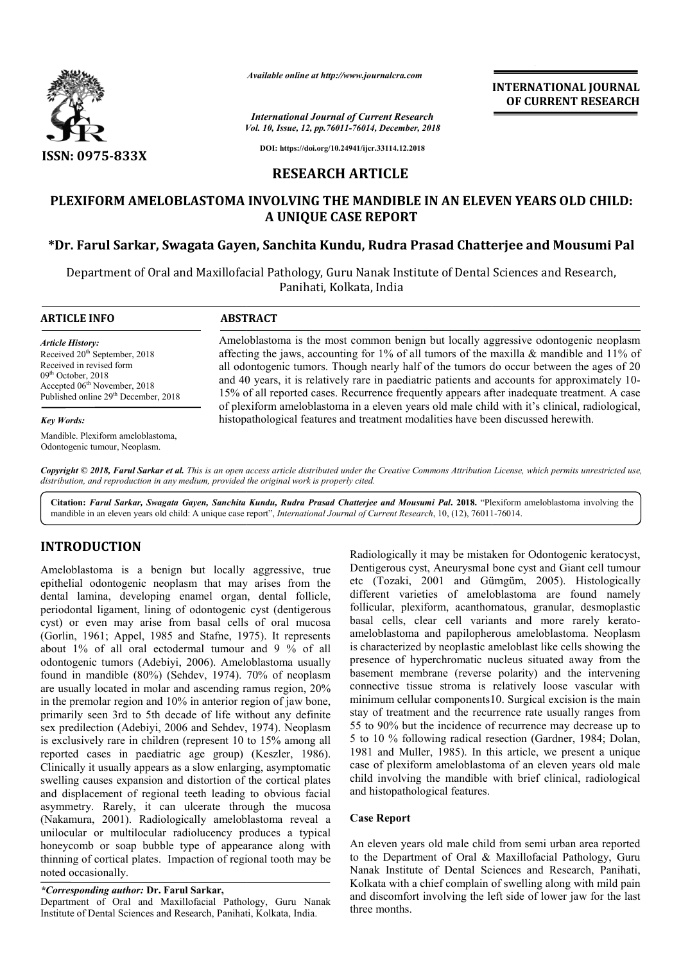

*Available online at http://www.journalcra.com*

*Vol. 10, Issue, 12, pp.76011-76014, December, 2018 International Journal of Current Research*

**INTERNATIONAL JOURNAL OF CURRENT RESEARCH**

**DOI: https://doi.org/10.24941/ijcr.33114.12.2018**

## **RESEARCH ARTICLE**

# **PLEXIFORM AMELOBLASTOMA INVOLVING THE MANDIBLE IN AN ELEVEN YEARS OLD CHILD: A UNIQUE CASE REPORT**

# **\*Dr. Farul Sarkar, Swagata Gayen Gayen, Sanchita Kundu, Rudra Prasad Chatterjee , Kundu, Chatterjee and Mousumi Pal**

Department of Oral and Maxillofacial Pathology, Guru Nanak Institute of Dental Sciences and Research, of Sciences and Research, Panihati, Kolkata, India

| <b>ARTICLE INFO</b>                                                                                                                                                                                                      | <b>ABSTRACT</b>                                                                                                                                                                                                                                                                                                                                                                                                                                                                                                                                                              |
|--------------------------------------------------------------------------------------------------------------------------------------------------------------------------------------------------------------------------|------------------------------------------------------------------------------------------------------------------------------------------------------------------------------------------------------------------------------------------------------------------------------------------------------------------------------------------------------------------------------------------------------------------------------------------------------------------------------------------------------------------------------------------------------------------------------|
| <b>Article History:</b><br>Received 20 <sup>th</sup> September, 2018<br>Received in revised form<br>$09th$ October, 2018<br>Accepted 06 <sup>th</sup> November, 2018<br>Published online 29 <sup>th</sup> December, 2018 | Ameloblastoma is the most common benign but locally aggressive odontogenic neoplasm<br>affecting the jaws, accounting for 1% of all tumors of the maxilla & mandible and 11% of<br>all odontogenic tumors. Though nearly half of the tumors do occur between the ages of 20<br>and 40 years, it is relatively rare in paediatric patients and accounts for approximately 10-<br>15% of all reported cases. Recurrence frequently appears after inadequate treatment. A case<br>of plexiform ameloblastoma in a eleven years old male child with it's clinical, radiological, |
| <b>Key Words:</b>                                                                                                                                                                                                        | histopathological features and treatment modalities have been discussed herewith.                                                                                                                                                                                                                                                                                                                                                                                                                                                                                            |
| Mandible. Plexiform ameloblastoma,<br>Odontogenic tumour, Neoplasm.                                                                                                                                                      |                                                                                                                                                                                                                                                                                                                                                                                                                                                                                                                                                                              |

Copyright © 2018, Farul Sarkar et al. This is an open access article distributed under the Creative Commons Attribution License, which permits unrestricted use, *distribution, and reproduction in any medium, provided the original work is properly cited.*

Citation: Farul Sarkar, Swagata Gayen, Sanchita Kundu, Rudra Prasad Chatterjee and Mousumi Pal. 2018. "Plexiform ameloblastoma involving the mandible in an eleven years old child: A unique case report", *International Journal of Current Research*, 10, (12), 76011-76014.

# **INTRODUCTION**

Ameloblastoma is a benign but locally aggressive, true epithelial odontogenic neoplasm that may arises from the dental lamina, developing enamel organ, dental follicle, periodontal ligament, lining of odontogenic cyst (dentigerous cyst) or even may arise from basal cells of oral mucosa (Gorlin, 1961; Appel, 1985 and Stafne, 1975). It represents about 1% of all oral ectodermal tumour and 9 % of all odontogenic tumors (Adebiyi, 2006). Ameloblastoma usually found in mandible (80%) (Sehdev, 1974). 70% of neoplasm are usually located in molar and ascending ramus region, 20% in the premolar region and 10% in anterior region of jaw bone, primarily seen 3rd to 5th decade of life without any definite sex predilection (Adebiyi, 2006 and Sehdev, 1974). Neoplasm is exclusively rare in children (represent 10 to 15% among all reported cases in paediatric age group) (Keszler, 1986). Clinically it usually appears as a slow enlarging, asymptomatic swelling causes expansion and distortion of the cortical plates and displacement of regional teeth leading to obvious facial asymmetry. Rarely, it can ulcerate through the mucosa (Nakamura, 2001). Radiologically ameloblastoma reveal a unilocular or multilocular radiolucency produces a typical honeycomb or soap bubble type of appearance along with thinning of cortical plates. Impaction of regional tooth may be noted occasionally. 7, 1974). 70% of neoplasm<br>cending ramus region, 20%<br>anterior region of jaw bone,<br>of life without any definite<br>d Sehdev, 1974). Neoplasm tes. Impaction of regional tooth may<br> **Dr. Farul Sarkar,**<br>
Ind Maxillofacial Pathology, Guru Na<br>
es and Research, Panihati, Kolkata, India.

### *\*Corresponding author:* **Dr. Farul Sarkar,**

Department of Oral and Maxillofacial Pathology, Guru Nanak Institute of Dental Sciences and Research, Panihati, Kolkata, India

Radiologically it may be mistaken for Odontogenic keratocyst, Radiologically it may be mistaken for Odontogenic keratocyst, Dentigerous cyst, Aneurysmal bone cyst and Giant cell tumour etc (Tozaki, 2001 and Gümgüm Gümgüm, 2005). Histologically different varieties of ameloblastoma are found namely different varieties of ameloblastoma are found namely follicular, plexiform, acanthomatous, granular, desmoplastic basal cells, clear cell variants and more rarely keratoameloblastoma and papilopherous ameloblastoma. Neoplasm is characterized by neoplastic ameloblast like cells showing the presence of hyperchromatic nucleus situated away from the basement membrane (reverse polarity) and the intervening connective tissue stroma is relatively loose vascular with minimum cellular components10. Surgical excision is the main stay of treatment and the recurrence rate usually ranges from 55 to 90% but the incidence of recurrence may decrease up to ameloblastoma and papilopherous ameloblastoma. Neoplasm<br>is characterized by neoplastic ameloblast like cells showing the<br>presence of hyperchromatic nucleus situated away from the<br>basement membrane (reverse polarity) and th 1981 and Muller, 1985). In this article, we present a unique case of plexiform ameloblastoma of an eleven years old male child involving the mandible with brief clinical, radiological and histopathological features. 1981 and Muller, 1985). In this article, we present a unique case of plexiform ameloblastoma of an eleven years old male child involving the mandible with brief clinical, radiological INTERNATIONAL JOURNAL<br> *INSTERNATIONAL JOURNAL*<br> *Checamés, 2018*<br> *DE CURRENT RESEARCH*<br> **ITCLE**<br> **ITCLE**<br> **INDIBELE IN AN ELEVEN YEARS OLD CHILD:**<br> **EFPORT**<br> **Rudra Prasad Chatterjee and Mousumi Pal**<br>  $\eta$ , India<br> *Inst* 

### **Case Report**

An eleven years old male child from semi urban area reported An eleven years old male child from semi urban area reported<br>to the Department of Oral & Maxillofacial Pathology, Guru Nanak Institute of Dental Sciences and Research, Panihati, Kolkata with a chief complain of swelling along with mild pain and discomfort involving the left side of lower jaw for the last three months.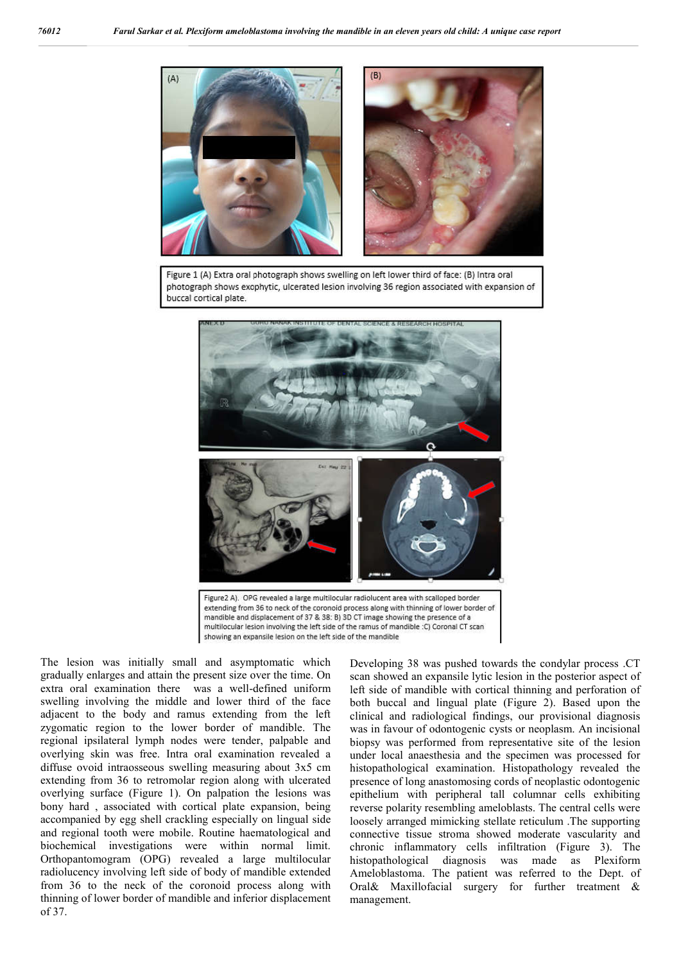

Figure 1 (A) Extra oral photograph shows swelling on left lower third of face: (B) Intra oral photograph shows exophytic, ulcerated lesion involving 36 region associated with expansion of buccal cortical plate



extending from 36 to neck of the coronoid process along with thinning of lower border of mandible and displacement of 37 & 38: B) 3D CT image showing the presence of a multilocular lesion involving the left side of the ramus of mandible :C) Coronal CT scan showing an expansile lesion on the left side of the mandible

The lesion was initially small and asymptomatic which gradually enlarges and attain the present size over the time. On extra oral examination there was a well-defined uniform swelling involving the middle and lower third of the face adjacent to the body and ramus extending from the left zygomatic region to the lower border of mandible. The regional ipsilateral lymph nodes were tender, palpable and overlying skin was free. Intra oral examination revealed a diffuse ovoid intraosseous swelling measuring about 3x5 cm extending from 36 to retromolar region along with ulcerated overlying surface (Figure 1). On palpation the lesions was bony hard , associated with cortical plate expansion, being accompanied by egg shell crackling especially on lingual side and regional tooth were mobile. Routine haematological and biochemical investigations were within normal limit. Orthopantomogram (OPG) revealed a large multilocular radiolucency involving left side of body of mandible extended from 36 to the neck of the coronoid process along with thinning of lower border of mandible and inferior displacement of 37.

Developing 38 was pushed towards the condylar process .CT scan showed an expansile lytic lesion in the posterior aspect of left side of mandible with cortical thinning and perforation of both buccal and lingual plate (Figure 2). Based upon the clinical and radiological findings, our provisional diagnosis was in favour of odontogenic cysts or neoplasm. An incisional biopsy was performed from representative site of the lesion under local anaesthesia and the specimen was processed for histopathological examination. Histopathology revealed the presence of long anastomosing cords of neoplastic odontogenic epithelium with peripheral tall columnar cells exhibiting reverse polarity resembling ameloblasts. The central cells were loosely arranged mimicking stellate reticulum .The supporting connective tissue stroma showed moderate vascularity and chronic inflammatory cells infiltration (Figure 3). The histopathological diagnosis was made as Plexiform Ameloblastoma. The patient was referred to the Dept. of Oral& Maxillofacial surgery for further treatment & management.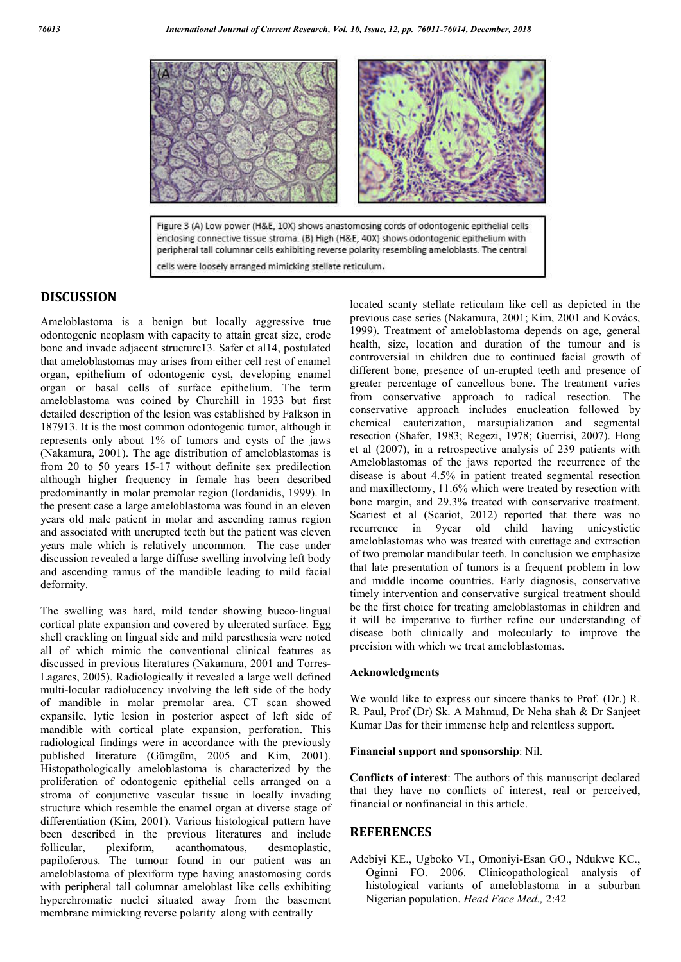

cells were loosely arranged mimicking stellate reticulum.

## **DISCUSSION**

Ameloblastoma is a benign but locally aggressive true odontogenic neoplasm with capacity to attain great size, erode bone and invade adjacent structure13. Safer et al14, postulated that ameloblastomas may arises from either cell rest of enamel organ, epithelium of odontogenic cyst, developing enamel organ or basal cells of surface epithelium. The term ameloblastoma was coined by Churchill in 1933 but first detailed description of the lesion was established by Falkson in 187913. It is the most common odontogenic tumor, although it represents only about 1% of tumors and cysts of the jaws (Nakamura, 2001). The age distribution of ameloblastomas is from 20 to 50 years 15-17 without definite sex predilection although higher frequency in female has been described predominantly in molar premolar region (Iordanidis, 1999). In the present case a large ameloblastoma was found in an eleven years old male patient in molar and ascending ramus region and associated with unerupted teeth but the patient was eleven years male which is relatively uncommon. The case under discussion revealed a large diffuse swelling involving left body and ascending ramus of the mandible leading to mild facial deformity.

The swelling was hard, mild tender showing bucco-lingual cortical plate expansion and covered by ulcerated surface. Egg shell crackling on lingual side and mild paresthesia were noted all of which mimic the conventional clinical features as discussed in previous literatures (Nakamura, 2001 and Torres-Lagares, 2005). Radiologically it revealed a large well defined multi-locular radiolucency involving the left side of the body of mandible in molar premolar area. CT scan showed expansile, lytic lesion in posterior aspect of left side of mandible with cortical plate expansion, perforation. This radiological findings were in accordance with the previously published literature (Gümgüm, 2005 and Kim, 2001). Histopathologically ameloblastoma is characterized by the proliferation of odontogenic epithelial cells arranged on a stroma of conjunctive vascular tissue in locally invading structure which resemble the enamel organ at diverse stage of differentiation (Kim, 2001). Various histological pattern have been described in the previous literatures and include follicular, plexiform, acanthomatous, desmoplastic, follicular, plexiform, acanthomatous, desmoplastic, papiloferous. The tumour found in our patient was an ameloblastoma of plexiform type having anastomosing cords with peripheral tall columnar ameloblast like cells exhibiting hyperchromatic nuclei situated away from the basement membrane mimicking reverse polarity along with centrally

located scanty stellate reticulam like cell as depicted in the previous case series (Nakamura, 2001; Kim, 2001 and Kovács, 1999). Treatment of ameloblastoma depends on age, general health, size, location and duration of the tumour and is controversial in children due to continued facial growth of different bone, presence of un-erupted teeth and presence of greater percentage of cancellous bone. The treatment varies from conservative approach to radical resection. The conservative approach includes enucleation followed by chemical cauterization, marsupialization and segmental resection (Shafer, 1983; Regezi, 1978; Guerrisi, 2007). Hong et al (2007), in a retrospective analysis of 239 patients with Ameloblastomas of the jaws reported the recurrence of the disease is about 4.5% in patient treated segmental resection and maxillectomy, 11.6% which were treated by resection with bone margin, and 29.3% treated with conservative treatment. Scariest et al (Scariot, 2012) reported that there was no recurrence in 9year old child having unicystictic ameloblastomas who was treated with curettage and extraction of two premolar mandibular teeth. In conclusion we emphasize that late presentation of tumors is a frequent problem in low and middle income countries. Early diagnosis, conservative timely intervention and conservative surgical treatment should be the first choice for treating ameloblastomas in children and it will be imperative to further refine our understanding of disease both clinically and molecularly to improve the precision with which we treat ameloblastomas.

#### **Acknowledgments**

We would like to express our sincere thanks to Prof. (Dr.) R. R. Paul, Prof (Dr) Sk. A Mahmud, Dr Neha shah & Dr Sanjeet Kumar Das for their immense help and relentless support.

#### **Financial support and sponsorship**: Nil.

**Conflicts of interest**: The authors of this manuscript declared that they have no conflicts of interest, real or perceived, financial or nonfinancial in this article.

### **REFERENCES**

Adebiyi KE., Ugboko VI., Omoniyi-Esan GO., Ndukwe KC., Oginni FO. 2006. Clinicopathological analysis of histological variants of ameloblastoma in a suburban Nigerian population. *Head Face Med.,* 2:42